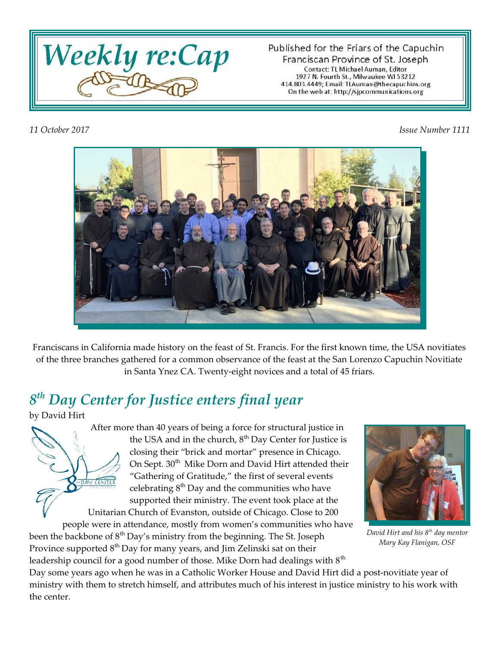

Published for the Friars of the Capuchin Franciscan Province of St. Joseph Contact: TL Michael Auman, Editor 1927 N. Fourth St., Milwaukee WI 53212 414.803.4449; Email: TLAuman@thecapuchins.org On the web at: http://sjpcommunications.org

*11 October 2017 Issue Number 1111*



Franciscans in California made history on the feast of St. Francis. For the first known time, the USA novitiates of the three branches gathered for a common observance of the feast at the San Lorenzo Capuchin Novitiate in Santa Ynez CA. Twenty-eight novices and a total of 45 friars.

#### *8 th Day Center for Justice enters final year*

by David Hirt

CENTE

After more than 40 years of being a force for structural justice in the USA and in the church,  $8<sup>th</sup>$  Day Center for Justice is closing their "brick and mortar" presence in Chicago. On Sept. 30<sup>th</sup> Mike Dorn and David Hirt attended their "Gathering of Gratitude," the first of several events celebrating  $8<sup>th</sup>$  Day and the communities who have supported their ministry. The event took place at the Unitarian Church of Evanston, outside of Chicago. Close to 200

people were in attendance, mostly from women's communities who have been the backbone of  $8<sup>th</sup>$  Day's ministry from the beginning. The St. Joseph

Province supported  $8<sup>th</sup>$  Day for many years, and Jim Zelinski sat on their leadership council for a good number of those. Mike Dorn had dealings with  $8<sup>th</sup>$ 



*David Hirt and his 8th day mentor Mary Kay Flanigan, OSF*

Day some years ago when he was in a Catholic Worker House and David Hirt did a post-novitiate year of ministry with them to stretch himself, and attributes much of his interest in justice ministry to his work with the center.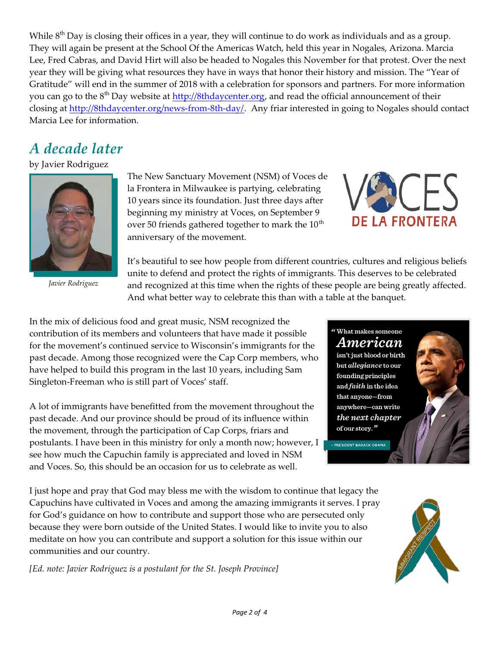While  $8<sup>th</sup>$  Day is closing their offices in a year, they will continue to do work as individuals and as a group. They will again be present at the School Of the Americas Watch, held this year in Nogales, Arizona. Marcia Lee, Fred Cabras, and David Hirt will also be headed to Nogales this November for that protest. Over the next year they will be giving what resources they have in ways that honor their history and mission. The "Year of Gratitude" will end in the summer of 2018 with a celebration for sponsors and partners. For more information you can go to the 8<sup>th</sup> Day website at<http://8thdaycenter.org>, and read the official announcement of their closing at <http://8thdaycenter.org/news-from-8th-day/>. Any friar interested in going to Nogales should contact Marcia Lee for information.

## *A decade later*

#### by Javier Rodriguez



*Javier Rodriguez*

The New Sanctuary Movement (NSM) of Voces de la Frontera in Milwaukee is partying, celebrating 10 years since its foundation. Just three days after beginning my ministry at Voces, on September 9 over 50 friends gathered together to mark the  $10^{th}$ anniversary of the movement.



It's beautiful to see how people from different countries, cultures and religious beliefs unite to defend and protect the rights of immigrants. This deserves to be celebrated and recognized at this time when the rights of these people are being greatly affected. And what better way to celebrate this than with a table at the banquet.

In the mix of delicious food and great music, NSM recognized the contribution of its members and volunteers that have made it possible for the movement's continued service to Wisconsin's immigrants for the past decade. Among those recognized were the Cap Corp members, who have helped to build this program in the last 10 years, including Sam Singleton-Freeman who is still part of Voces' staff.

A lot of immigrants have benefitted from the movement throughout the past decade. And our province should be proud of its influence within the movement, through the participation of Cap Corps, friars and postulants. I have been in this ministry for only a month now; however, I see how much the Capuchin family is appreciated and loved in NSM and Voces. So, this should be an occasion for us to celebrate as well.

I just hope and pray that God may bless me with the wisdom to continue that legacy the Capuchins have cultivated in Voces and among the amazing immigrants it serves. I pray for God's guidance on how to contribute and support those who are persecuted only because they were born outside of the United States. I would like to invite you to also meditate on how you can contribute and support a solution for this issue within our communities and our country.

*[Ed. note: Javier Rodriguez is a postulant for the St. Joseph Province]*

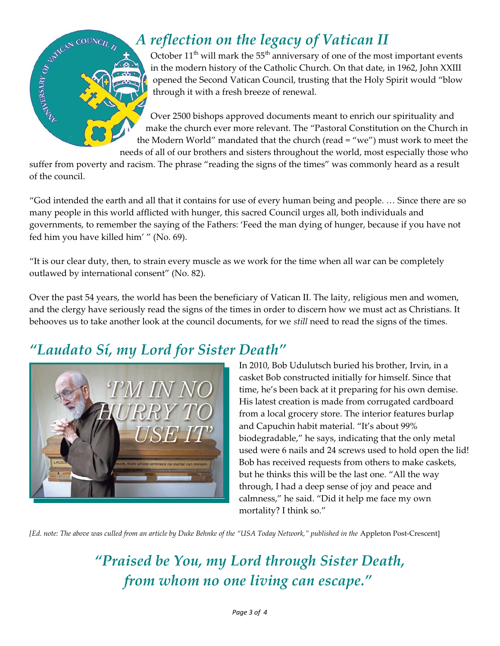

## *A reflection on the legacy of Vatican II*

October  $11^{th}$  will mark the  $55^{th}$  anniversary of one of the most important events in the modern history of the Catholic Church. On that date, in 1962, John XXIII opened the Second Vatican Council, trusting that the Holy Spirit would "blow through it with a fresh breeze of renewal.

Over 2500 bishops approved documents meant to enrich our spirituality and make the church ever more relevant. The "Pastoral Constitution on the Church in the Modern World" mandated that the church (read = "we") must work to meet the needs of all of our brothers and sisters throughout the world, most especially those who

suffer from poverty and racism. The phrase "reading the signs of the times" was commonly heard as a result of the council.

"God intended the earth and all that it contains for use of every human being and people. … Since there are so many people in this world afflicted with hunger, this sacred Council urges all, both individuals and governments, to remember the saying of the Fathers: 'Feed the man dying of hunger, because if you have not fed him you have killed him' " (No. 69).

"It is our clear duty, then, to strain every muscle as we work for the time when all war can be completely outlawed by international consent" (No. 82).

Over the past 54 years, the world has been the beneficiary of Vatican II. The laity, religious men and women, and the clergy have seriously read the signs of the times in order to discern how we must act as Christians. It behooves us to take another look at the council documents, for we *still* need to read the signs of the times.

# *"Laudato Sí, my Lord for Sister Death"*



In 2010, Bob Udulutsch buried his brother, Irvin, in a casket Bob constructed initially for himself. Since that time, he's been back at it preparing for his own demise. His latest creation is made from corrugated cardboard from a local grocery store. The interior features burlap and Capuchin habit material. "It's about 99% biodegradable," he says, indicating that the only metal used were 6 nails and 24 screws used to hold open the lid! Bob has received requests from others to make caskets, but he thinks this will be the last one. "All the way through, I had a deep sense of joy and peace and calmness," he said. "Did it help me face my own mortality? I think so."

*[Ed. note: The above was culled from an article by Duke Behnke of the "USA Today Network," published in the Appleton Post-Crescent]* 

*"Praised be You, my Lord through Sister Death, from whom no one living can escape."*